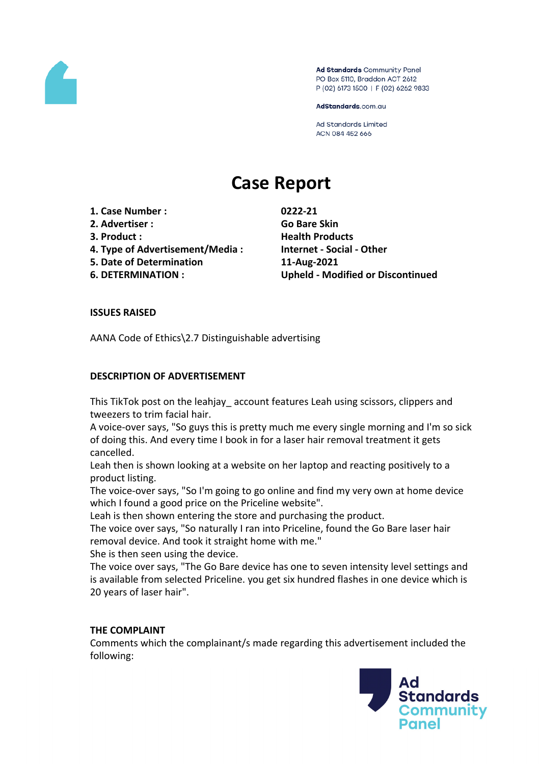

Ad Standards Community Panel PO Box 5110, Braddon ACT 2612 P (02) 6173 1500 | F (02) 6262 9833

AdStandards.com.au

**Ad Standards Limited** ACN 084 452 666

# **Case Report**

- **1. Case Number : 0222-21**
- **2. Advertiser : Go Bare Skin**
- 
- **4. Type of Advertisement/Media : Internet - Social - Other**
- **5. Date of Determination 11-Aug-2021**
- 

**3. Product : Health Products 6. DETERMINATION : Upheld - Modified or Discontinued**

# **ISSUES RAISED**

AANA Code of Ethics\2.7 Distinguishable advertising

# **DESCRIPTION OF ADVERTISEMENT**

This TikTok post on the leahjay account features Leah using scissors, clippers and tweezers to trim facial hair.

A voice-over says, "So guys this is pretty much me every single morning and I'm so sick of doing this. And every time I book in for a laser hair removal treatment it gets cancelled.

Leah then is shown looking at a website on her laptop and reacting positively to a product listing.

The voice-over says, "So I'm going to go online and find my very own at home device which I found a good price on the Priceline website".

Leah is then shown entering the store and purchasing the product.

The voice over says, "So naturally I ran into Priceline, found the Go Bare laser hair removal device. And took it straight home with me."

She is then seen using the device.

The voice over says, "The Go Bare device has one to seven intensity level settings and is available from selected Priceline. you get six hundred flashes in one device which is 20 years of laser hair".

## **THE COMPLAINT**

Comments which the complainant/s made regarding this advertisement included the following:

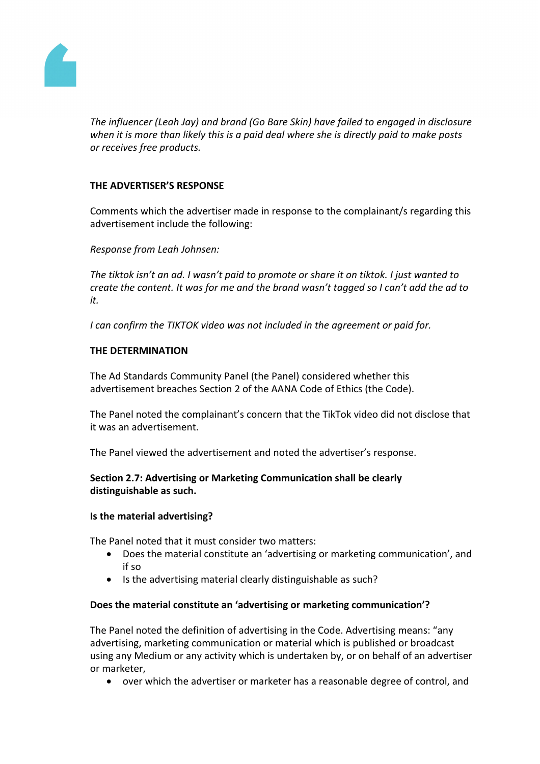

*The influencer (Leah Jay) and brand (Go Bare Skin) have failed to engaged in disclosure when it is more than likely this is a paid deal where she is directly paid to make posts or receives free products.*

# **THE ADVERTISER'S RESPONSE**

Comments which the advertiser made in response to the complainant/s regarding this advertisement include the following:

*Response from Leah Johnsen:*

*The tiktok isn't an ad. I wasn't paid to promote or share it on tiktok. I just wanted to create the content. It was for me and the brand wasn't tagged so I can't add the ad to it.*

*I can confirm the TIKTOK video was not included in the agreement or paid for.*

#### **THE DETERMINATION**

The Ad Standards Community Panel (the Panel) considered whether this advertisement breaches Section 2 of the AANA Code of Ethics (the Code).

The Panel noted the complainant's concern that the TikTok video did not disclose that it was an advertisement.

The Panel viewed the advertisement and noted the advertiser's response.

**Section 2.7: Advertising or Marketing Communication shall be clearly distinguishable as such.**

#### **Is the material advertising?**

The Panel noted that it must consider two matters:

- Does the material constitute an 'advertising or marketing communication', and if so
- Is the advertising material clearly distinguishable as such?

#### **Does the material constitute an 'advertising or marketing communication'?**

The Panel noted the definition of advertising in the Code. Advertising means: "any advertising, marketing communication or material which is published or broadcast using any Medium or any activity which is undertaken by, or on behalf of an advertiser or marketer,

over which the advertiser or marketer has a reasonable degree of control, and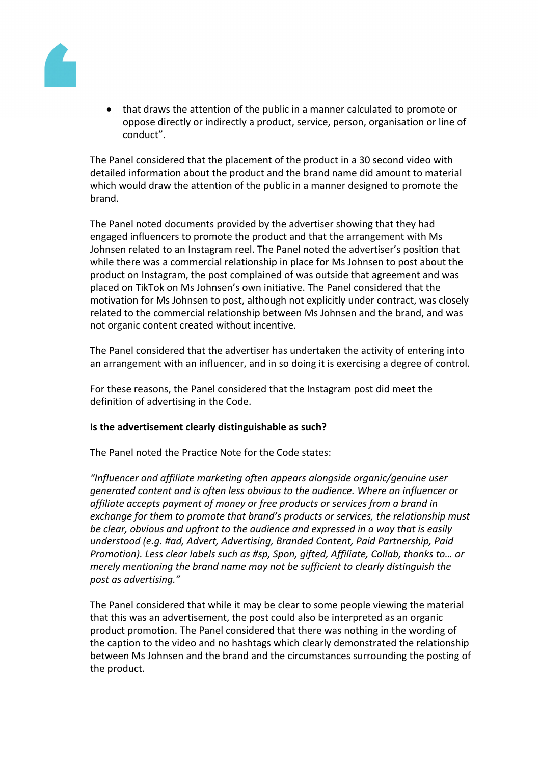

 that draws the attention of the public in a manner calculated to promote or oppose directly or indirectly a product, service, person, organisation or line of conduct".

The Panel considered that the placement of the product in a 30 second video with detailed information about the product and the brand name did amount to material which would draw the attention of the public in a manner designed to promote the brand.

The Panel noted documents provided by the advertiser showing that they had engaged influencers to promote the product and that the arrangement with Ms Johnsen related to an Instagram reel. The Panel noted the advertiser's position that while there was a commercial relationship in place for Ms Johnsen to post about the product on Instagram, the post complained of was outside that agreement and was placed on TikTok on Ms Johnsen's own initiative. The Panel considered that the motivation for Ms Johnsen to post, although not explicitly under contract, was closely related to the commercial relationship between Ms Johnsen and the brand, and was not organic content created without incentive.

The Panel considered that the advertiser has undertaken the activity of entering into an arrangement with an influencer, and in so doing it is exercising a degree of control.

For these reasons, the Panel considered that the Instagram post did meet the definition of advertising in the Code.

# **Is the advertisement clearly distinguishable as such?**

The Panel noted the Practice Note for the Code states:

*"Influencer and affiliate marketing often appears alongside organic/genuine user generated content and is often less obvious to the audience. Where an influencer or affiliate accepts payment of money or free products or services from a brand in exchange for them to promote that brand's products or services, the relationship must be clear, obvious and upfront to the audience and expressed in a way that is easily understood (e.g. #ad, Advert, Advertising, Branded Content, Paid Partnership, Paid Promotion). Less clear labels such as #sp, Spon, gifted, Affiliate, Collab, thanks to… or merely mentioning the brand name may not be sufficient to clearly distinguish the post as advertising."*

The Panel considered that while it may be clear to some people viewing the material that this was an advertisement, the post could also be interpreted as an organic product promotion. The Panel considered that there was nothing in the wording of the caption to the video and no hashtags which clearly demonstrated the relationship between Ms Johnsen and the brand and the circumstances surrounding the posting of the product.